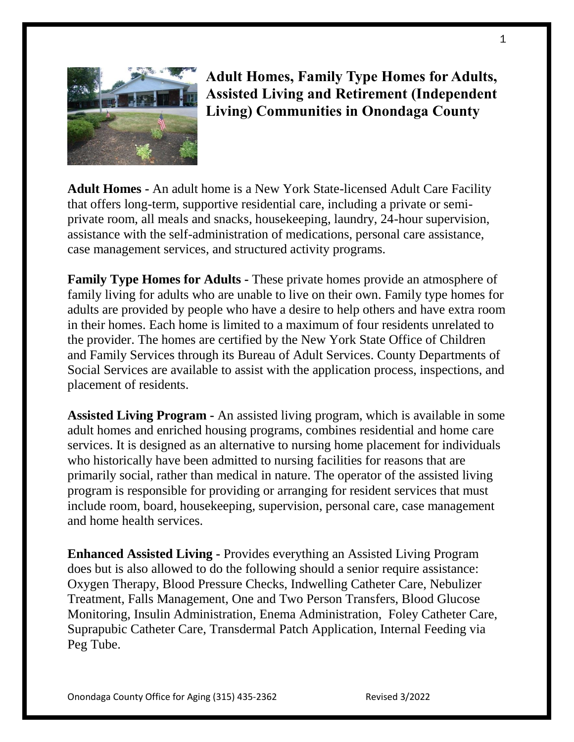

# **Adult Homes, Family Type Homes for Adults, Assisted Living and Retirement (Independent Living) Communities in Onondaga County**

**Adult Homes -** An adult home is a New York State-licensed Adult Care Facility that offers long-term, supportive residential care, including a private or semiprivate room, all meals and snacks, housekeeping, laundry, 24-hour supervision, assistance with the self-administration of medications, personal care assistance, case management services, and structured activity programs.

**Family Type Homes for Adults -** These private homes provide an atmosphere of family living for adults who are unable to live on their own. Family type homes for adults are provided by people who have a desire to help others and have extra room in their homes. Each home is limited to a maximum of four residents unrelated to the provider. The homes are certified by the New York State Office of Children and Family Services through its Bureau of Adult Services. County Departments of Social Services are available to assist with the application process, inspections, and placement of residents.

**Assisted Living Program -** An assisted living program, which is available in some adult homes and enriched housing programs, combines residential and home care services. It is designed as an alternative to nursing home placement for individuals who historically have been admitted to nursing facilities for reasons that are primarily social, rather than medical in nature. The operator of the assisted living program is responsible for providing or arranging for resident services that must include room, board, housekeeping, supervision, personal care, case management and home health services.

**Enhanced Assisted Living -** Provides everything an Assisted Living Program does but is also allowed to do the following should a senior require assistance: Oxygen Therapy, Blood Pressure Checks, Indwelling Catheter Care, Nebulizer Treatment, Falls Management, One and Two Person Transfers, Blood Glucose Monitoring, Insulin Administration, Enema Administration, Foley Catheter Care, Suprapubic Catheter Care, Transdermal Patch Application, Internal Feeding via Peg Tube.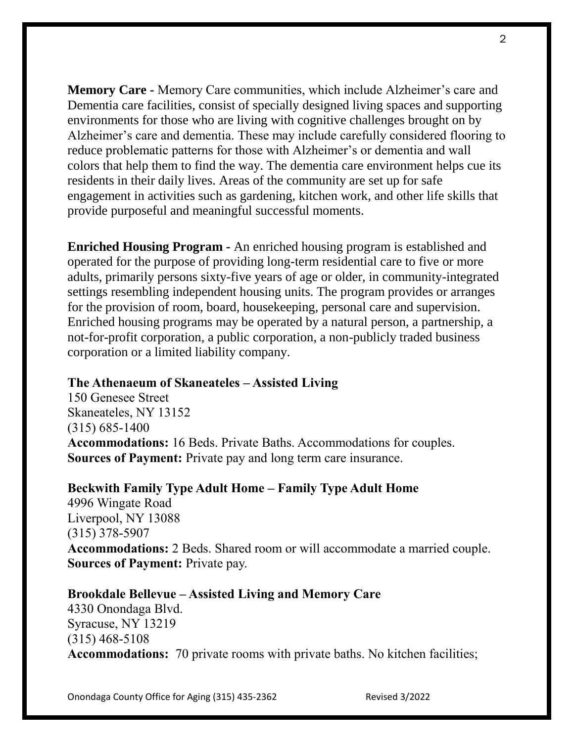**Memory Care -** Memory Care communities, which include Alzheimer's care and Dementia care facilities, consist of specially designed living spaces and supporting environments for those who are living with cognitive challenges brought on by Alzheimer's care and dementia. These may include carefully considered flooring to reduce problematic patterns for those with Alzheimer's or dementia and wall colors that help them to find the way. The dementia care environment helps cue its residents in their daily lives. Areas of the community are set up for safe engagement in activities such as gardening, kitchen work, and other life skills that provide purposeful and meaningful successful moments.

**Enriched Housing Program -** An enriched housing program is established and operated for the purpose of providing long-term residential care to five or more adults, primarily persons sixty-five years of age or older, in community-integrated settings resembling independent housing units. The program provides or arranges for the provision of room, board, housekeeping, personal care and supervision. Enriched housing programs may be operated by a natural person, a partnership, a not-for-profit corporation, a public corporation, a non-publicly traded business corporation or a limited liability company.

## **The Athenaeum of Skaneateles – Assisted Living**

150 Genesee Street Skaneateles, NY 13152 (315) 685-1400 **Accommodations:** 16 Beds. Private Baths. Accommodations for couples. **Sources of Payment:** Private pay and long term care insurance.

## **Beckwith Family Type Adult Home – Family Type Adult Home**

4996 Wingate Road Liverpool, NY 13088 (315) 378-5907 **Accommodations:** 2 Beds. Shared room or will accommodate a married couple. **Sources of Payment:** Private pay.

## **Brookdale Bellevue – Assisted Living and Memory Care**

4330 Onondaga Blvd. Syracuse, NY 13219 (315) 468-5108 **Accommodations:** 70 private rooms with private baths. No kitchen facilities;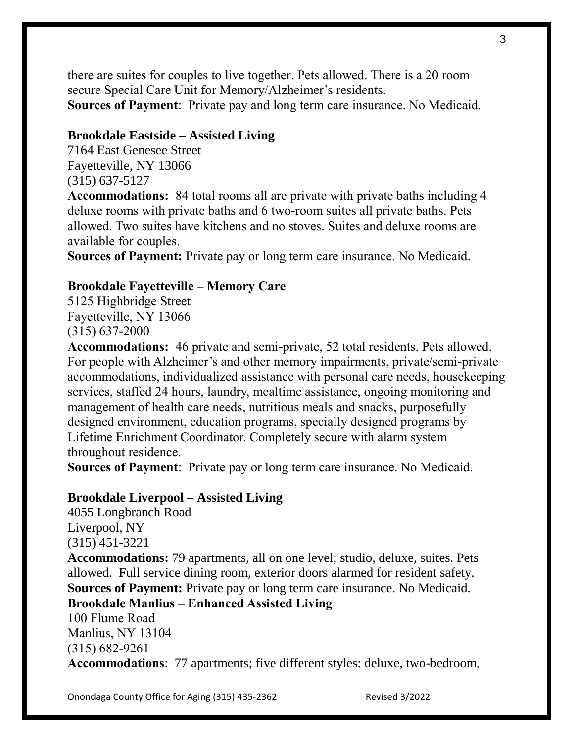there are suites for couples to live together. Pets allowed. There is a 20 room secure Special Care Unit for Memory/Alzheimer's residents. **Sources of Payment**: Private pay and long term care insurance. No Medicaid.

## **Brookdale Eastside – Assisted Living**

7164 East Genesee Street Fayetteville, NY 13066 (315) 637-5127

**Accommodations:** 84 total rooms all are private with private baths including 4 deluxe rooms with private baths and 6 two-room suites all private baths. Pets allowed. Two suites have kitchens and no stoves. Suites and deluxe rooms are available for couples.

**Sources of Payment:** Private pay or long term care insurance. No Medicaid.

#### **Brookdale Fayetteville – Memory Care**

5125 Highbridge Street Fayetteville, NY 13066 (315) 637-2000

**Accommodations:** 46 private and semi-private, 52 total residents. Pets allowed. For people with Alzheimer's and other memory impairments, private/semi-private accommodations, individualized assistance with personal care needs, housekeeping services, staffed 24 hours, laundry, mealtime assistance, ongoing monitoring and management of health care needs, nutritious meals and snacks, purposefully designed environment, education programs, specially designed programs by Lifetime Enrichment Coordinator. Completely secure with alarm system throughout residence.

**Sources of Payment**: Private pay or long term care insurance. No Medicaid.

#### **Brookdale Liverpool – Assisted Living**

4055 Longbranch Road Liverpool, NY (315) 451-3221 **Accommodations:** 79 apartments, all on one level; studio, deluxe, suites. Pets allowed. Full service dining room, exterior doors alarmed for resident safety. **Sources of Payment:** Private pay or long term care insurance. No Medicaid. **Brookdale Manlius – Enhanced Assisted Living** 100 Flume Road Manlius, NY 13104 (315) 682-9261 **Accommodations**: 77 apartments; five different styles: deluxe, two-bedroom,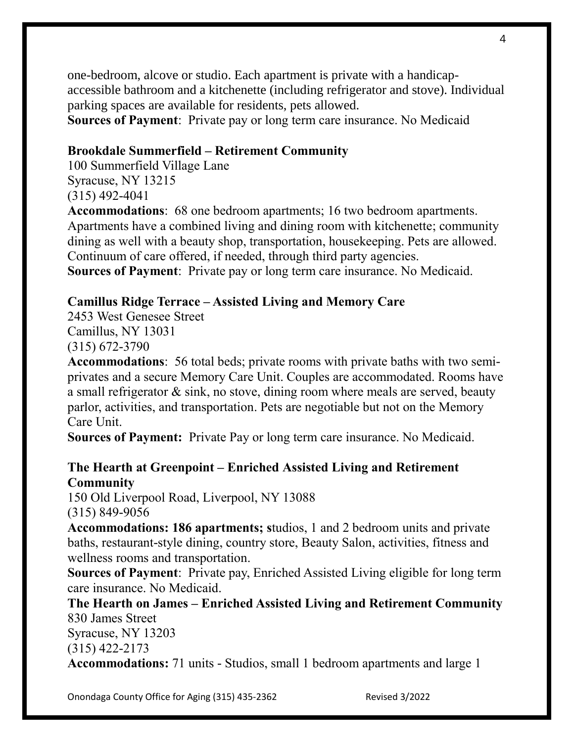one-bedroom, alcove or studio. Each apartment is private with a handicapaccessible bathroom and a kitchenette (including refrigerator and stove). Individual parking spaces are available for residents, pets allowed.

# **Sources of Payment**: Private pay or long term care insurance. No Medicaid

# **Brookdale Summerfield – Retirement Community**

100 Summerfield Village Lane Syracuse, NY 13215 (315) 492-4041

**Accommodations**: 68 one bedroom apartments; 16 two bedroom apartments. Apartments have a combined living and dining room with kitchenette; community dining as well with a beauty shop, transportation, housekeeping. Pets are allowed. Continuum of care offered, if needed, through third party agencies. **Sources of Payment**: Private pay or long term care insurance. No Medicaid.

# **Camillus Ridge Terrace – Assisted Living and Memory Care**

2453 West Genesee Street Camillus, NY 13031 (315) 672-3790

**Accommodations**: 56 total beds; private rooms with private baths with two semiprivates and a secure Memory Care Unit. Couples are accommodated. Rooms have a small refrigerator & sink, no stove, dining room where meals are served, beauty parlor, activities, and transportation. Pets are negotiable but not on the Memory Care Unit.

**Sources of Payment:** Private Pay or long term care insurance. No Medicaid.

# **The Hearth at Greenpoint – Enriched Assisted Living and Retirement Community**

150 Old Liverpool Road, Liverpool, NY 13088 (315) 849-9056

**Accommodations: 186 apartments; s**tudios, 1 and 2 bedroom units and private baths, restaurant-style dining, country store, Beauty Salon, activities, fitness and wellness rooms and transportation.

**Sources of Payment**: Private pay, Enriched Assisted Living eligible for long term care insurance. No Medicaid.

**The Hearth on James – Enriched Assisted Living and Retirement Community** 830 James Street

Syracuse, NY 13203

(315) 422-2173

**Accommodations:** 71 units - Studios, small 1 bedroom apartments and large 1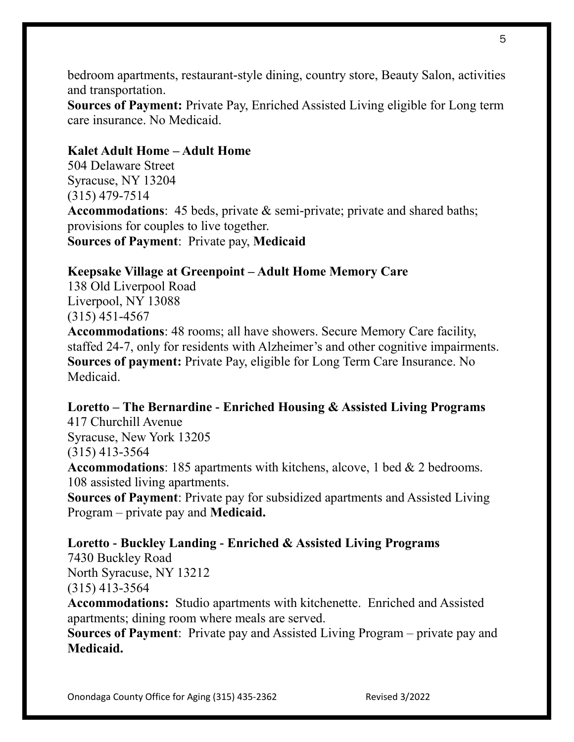bedroom apartments, restaurant-style dining, country store, Beauty Salon, activities and transportation.

**Sources of Payment:** Private Pay, Enriched Assisted Living eligible for Long term care insurance. No Medicaid.

## **Kalet Adult Home – Adult Home**

504 Delaware Street Syracuse, NY 13204 (315) 479-7514 **Accommodations**: 45 beds, private & semi-private; private and shared baths; provisions for couples to live together. **Sources of Payment**: Private pay, **Medicaid**

## **Keepsake Village at Greenpoint – Adult Home Memory Care**

138 Old Liverpool Road Liverpool, NY 13088 (315) 451-4567

**Accommodations**: 48 rooms; all have showers. Secure Memory Care facility, staffed 24-7, only for residents with Alzheimer's and other cognitive impairments. **Sources of payment:** Private Pay, eligible for Long Term Care Insurance. No Medicaid.

## **Loretto – The Bernardine - Enriched Housing & Assisted Living Programs** 417 Churchill Avenue

Syracuse, New York 13205 (315) 413-3564

**Accommodations**: 185 apartments with kitchens, alcove, 1 bed & 2 bedrooms. 108 assisted living apartments.

**Sources of Payment**: Private pay for subsidized apartments and Assisted Living Program – private pay and **Medicaid.**

**Loretto - Buckley Landing - Enriched & Assisted Living Programs** 7430 Buckley Road North Syracuse, NY 13212 (315) 413-3564 **Accommodations:** Studio apartments with kitchenette. Enriched and Assisted apartments; dining room where meals are served.

**Sources of Payment**: Private pay and Assisted Living Program – private pay and **Medicaid.**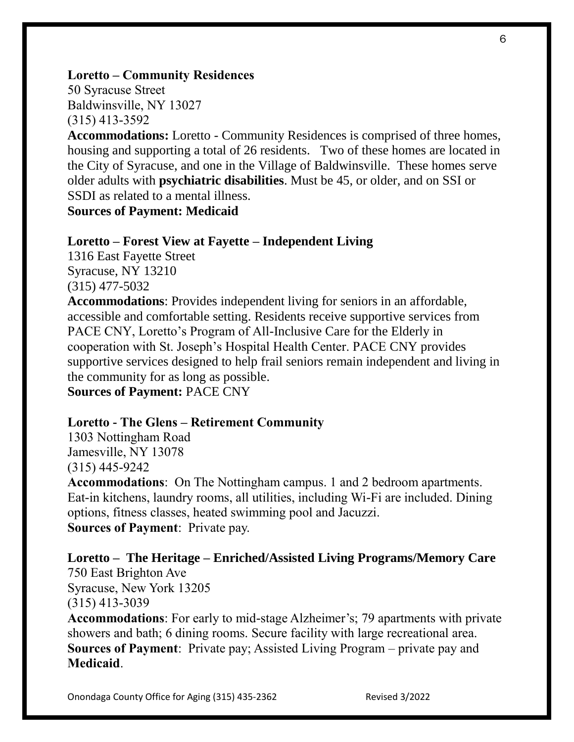## **Loretto – Community Residences**

50 Syracuse Street Baldwinsville, NY 13027 (315) 413-3592

**Accommodations:** Loretto - Community Residences is comprised of three homes, housing and supporting a total of 26 residents. Two of these homes are located in the City of Syracuse, and one in the Village of Baldwinsville. These homes serve older adults with **psychiatric disabilities**. Must be 45, or older, and on SSI or SSDI as related to a mental illness.

**Sources of Payment: Medicaid**

#### **Loretto – Forest View at Fayette – Independent Living**

1316 East Fayette Street Syracuse, NY 13210 (315) 477-5032

**Accommodations**: Provides independent living for seniors in an affordable, accessible and comfortable setting. Residents receive supportive services from PACE CNY, Loretto's Program of All-Inclusive Care for the Elderly in cooperation with St. Joseph's Hospital Health Center. PACE CNY provides supportive services designed to help frail seniors remain independent and living in the community for as long as possible.

**Sources of Payment:** PACE CNY

#### **Loretto - The Glens – Retirement Community**

1303 Nottingham Road Jamesville, NY 13078 (315) 445-9242

**Accommodations**: On The Nottingham campus. 1 and 2 bedroom apartments. Eat-in kitchens, laundry rooms, all utilities, including Wi-Fi are included. Dining options, fitness classes, heated swimming pool and Jacuzzi. **Sources of Payment**: Private pay.

**Loretto – The Heritage – Enriched/Assisted Living Programs/Memory Care** 750 East Brighton Ave Syracuse, New York 13205 (315) 413-3039 **Accommodations**: For early to mid-stage Alzheimer's; 79 apartments with private

showers and bath; 6 dining rooms. Secure facility with large recreational area. **Sources of Payment**: Private pay; Assisted Living Program – private pay and **Medicaid**.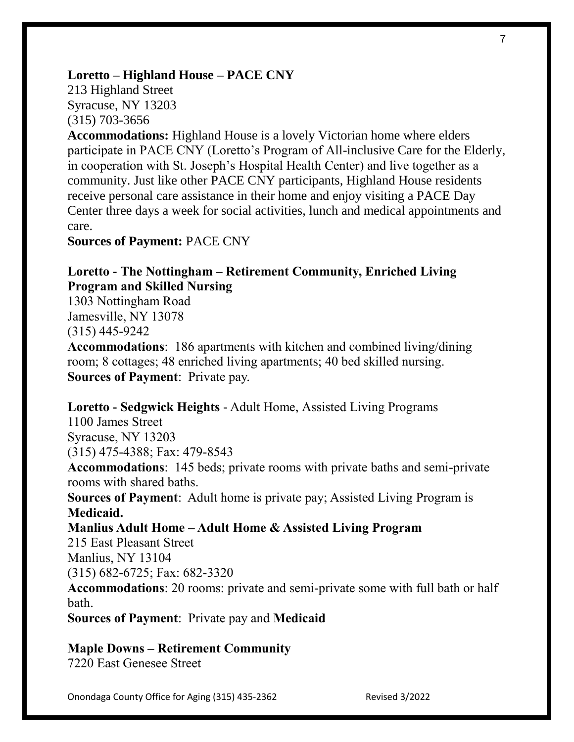### **Loretto – Highland House – PACE CNY**

213 Highland Street Syracuse, NY 13203 (315) 703-3656

**Accommodations:** Highland House is a lovely Victorian home where elders participate in PACE CNY (Loretto's Program of All-inclusive Care for the Elderly, in cooperation with St. Joseph's Hospital Health Center) and live together as a community. Just like other PACE CNY participants, Highland House residents receive personal care assistance in their home and enjoy visiting a PACE Day Center three days a week for social activities, lunch and medical appointments and care.

**Sources of Payment:** PACE CNY

## **Loretto - The Nottingham – Retirement Community, Enriched Living Program and Skilled Nursing**

1303 Nottingham Road Jamesville, NY 13078 (315) 445-9242

**Accommodations**: 186 apartments with kitchen and combined living/dining room; 8 cottages; 48 enriched living apartments; 40 bed skilled nursing. **Sources of Payment**: Private pay.

#### **Loretto - Sedgwick Heights** - Adult Home, Assisted Living Programs

1100 James Street Syracuse, NY 13203 (315) 475-4388; Fax: 479-8543

**Accommodations**: 145 beds; private rooms with private baths and semi-private rooms with shared baths.

**Sources of Payment**: Adult home is private pay; Assisted Living Program is **Medicaid.**

## **Manlius Adult Home – Adult Home & Assisted Living Program**

215 East Pleasant Street

Manlius, NY 13104

(315) 682-6725; Fax: 682-3320

**Accommodations**: 20 rooms: private and semi-private some with full bath or half bath.

**Sources of Payment**: Private pay and **Medicaid**

#### **Maple Downs – Retirement Community**

7220 East Genesee Street

Onondaga County Office for Aging (315) 435-2362 Revised 3/2022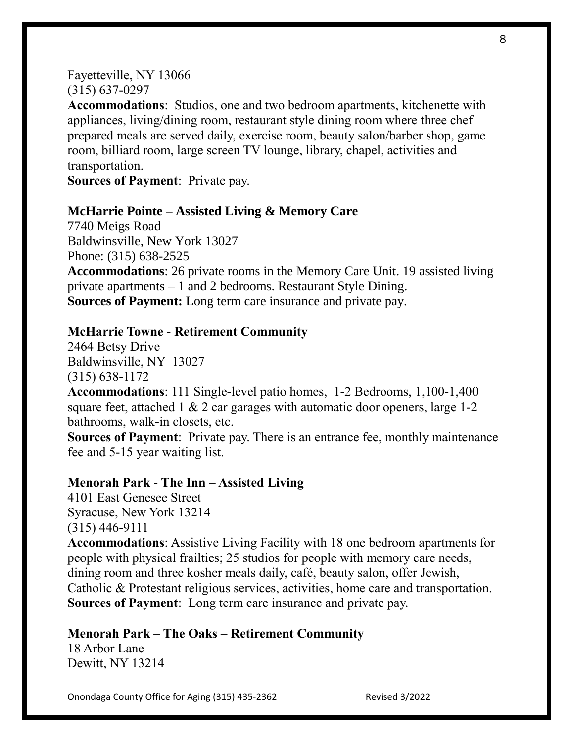### Fayetteville, NY 13066 (315) 637-0297

**Accommodations**: Studios, one and two bedroom apartments, kitchenette with appliances, living/dining room, restaurant style dining room where three chef prepared meals are served daily, exercise room, beauty salon/barber shop, game room, billiard room, large screen TV lounge, library, chapel, activities and transportation.

**Sources of Payment**: Private pay.

## **McHarrie Pointe – Assisted Living & Memory Care**

7740 Meigs Road Baldwinsville, New York 13027 Phone: (315) 638-2525 **Accommodations**: 26 private rooms in the Memory Care Unit. 19 assisted living private apartments – 1 and 2 bedrooms. Restaurant Style Dining. **Sources of Payment:** Long term care insurance and private pay.

## **McHarrie Towne - Retirement Community**

2464 Betsy Drive Baldwinsville, NY 13027 (315) 638-1172

**Accommodations**: 111 Single-level patio homes, 1-2 Bedrooms, 1,100-1,400 square feet, attached  $1 \& 2$  car garages with automatic door openers, large 1-2 bathrooms, walk-in closets, etc.

**Sources of Payment**: Private pay. There is an entrance fee, monthly maintenance fee and 5-15 year waiting list.

#### **Menorah Park - The Inn – Assisted Living**

4101 East Genesee Street Syracuse, New York 13214 (315) 446-9111

**Accommodations**: Assistive Living Facility with 18 one bedroom apartments for people with physical frailties; 25 studios for people with memory care needs, dining room and three kosher meals daily, café, beauty salon, offer Jewish, Catholic & Protestant religious services, activities, home care and transportation. **Sources of Payment**: Long term care insurance and private pay.

## **Menorah Park – The Oaks – Retirement Community**

18 Arbor Lane Dewitt, NY 13214

Onondaga County Office for Aging (315) 435-2362 Revised 3/2022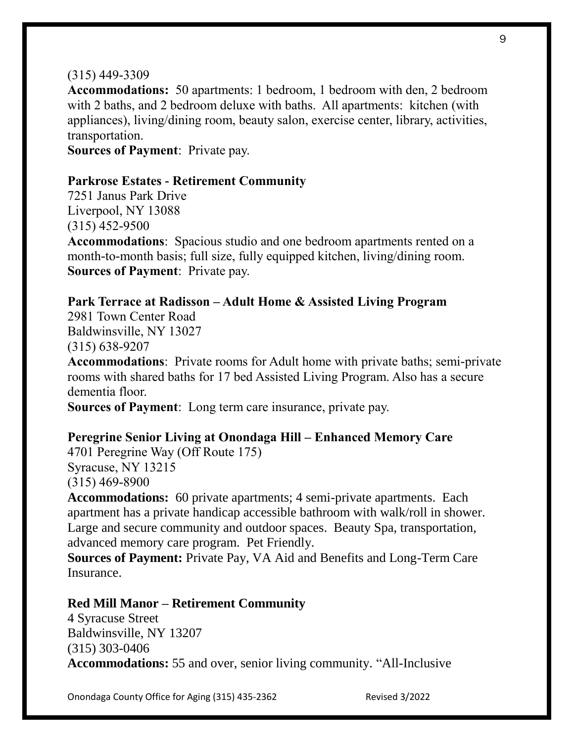#### (315) 449-3309

**Accommodations:** 50 apartments: 1 bedroom, 1 bedroom with den, 2 bedroom with 2 baths, and 2 bedroom deluxe with baths. All apartments: kitchen (with appliances), living/dining room, beauty salon, exercise center, library, activities, transportation.

**Sources of Payment**: Private pay.

#### **Parkrose Estates - Retirement Community**

7251 Janus Park Drive Liverpool, NY 13088 (315) 452-9500

**Accommodations**: Spacious studio and one bedroom apartments rented on a month-to-month basis; full size, fully equipped kitchen, living/dining room. **Sources of Payment**: Private pay.

#### **Park Terrace at Radisson – Adult Home & Assisted Living Program**

2981 Town Center Road Baldwinsville, NY 13027 (315) 638-9207

**Accommodations**: Private rooms for Adult home with private baths; semi-private rooms with shared baths for 17 bed Assisted Living Program. Also has a secure dementia floor.

**Sources of Payment**: Long term care insurance, private pay.

#### **Peregrine Senior Living at Onondaga Hill – Enhanced Memory Care**

4701 Peregrine Way (Off Route 175) Syracuse, NY 13215 (315) 469-8900

**Accommodations:** 60 private apartments; 4 semi-private apartments. Each apartment has a private handicap accessible bathroom with walk/roll in shower. Large and secure community and outdoor spaces. Beauty Spa, transportation, advanced memory care program. Pet Friendly.

**Sources of Payment:** Private Pay, VA Aid and Benefits and Long-Term Care Insurance.

#### **Red Mill Manor – Retirement Community**

4 Syracuse Street Baldwinsville, NY 13207 (315) 303-0406 **Accommodations:** 55 and over, senior living community. "All-Inclusive

Onondaga County Office for Aging (315) 435-2362 Revised 3/2022